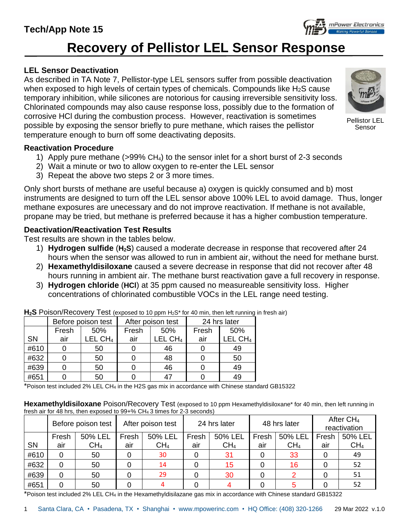# **Recovery of Pellistor LEL Sensor Response**

## **LEL Sensor Deactivation**

As described in TA Note 7, Pellistor-type LEL sensors suffer from possible deactivation when exposed to high levels of certain types of chemicals. Compounds like H<sub>2</sub>S cause temporary inhibition, while silicones are notorious for causing irreversible sensitivity loss. Chlorinated compounds may also cause response loss, possibly due to the formation of corrosive HCl during the combustion process. However, reactivation is sometimes possible by exposing the sensor briefly to pure methane, which raises the pellistor temperature enough to burn off some deactivating deposits.

#### **Reactivation Procedure**

- 1) Apply pure methane (>99% CH4) to the sensor inlet for a short burst of 2-3 seconds
- 2) Wait a minute or two to allow oxygen to re-enter the LEL sensor
- 3) Repeat the above two steps 2 or 3 more times.

Only short bursts of methane are useful because a) oxygen is quickly consumed and b) most instruments are designed to turn off the LEL sensor above 100% LEL to avoid damage. Thus, longer methane exposures are unecessary and do not improve reactivation. If methane is not available, propane may be tried, but methane is preferred because it has a higher combustion temperature.

### **Deactivation/Reactivation Test Results**

Test results are shown in the tables below.

- 1) **Hydrogen sulfide** (**H2S**) caused a moderate decrease in response that recovered after 24 hours when the sensor was allowed to run in ambient air, without the need for methane burst.
- 2) **Hexamethyldisiloxane** caused a severe decrease in response that did not recover after 48 hours running in ambient air. The methane burst reactivation gave a full recovery in response.
- 3) **Hydrogen chloride** (**HCl**) at 35 ppm caused no measureable sensitivity loss. Higher concentrations of chlorinated combustible VOCs in the LEL range need testing.

|      | Before poison test |           | After poison test |                     | 24 hrs later |                     |
|------|--------------------|-----------|-------------------|---------------------|--------------|---------------------|
|      | Fresh              | 50%       | Fresh             | 50%                 | Fresh        | 50%                 |
| SN   | air                | LEL $CH4$ | air               | LEL CH <sub>4</sub> | air          | LEL CH <sub>4</sub> |
| #610 |                    | 50        |                   | 46                  |              | 49                  |
| #632 |                    | 50        |                   | 48                  |              | 50                  |
| #639 |                    | 50        |                   | 46                  |              | 49                  |
| #651 |                    | 50        |                   |                     |              | 49                  |

**H2S** Poison/Recovery Test (exposed to 10 ppm H2S\* for 40 min, then left running in fresh air)

\*Poison test included 2% LEL CH<sup>4</sup> in the H2S gas mix in accordance with Chinese standard GB15322

**Hexamethyldisiloxane** Poison/Recovery Test (exposed to 10 ppm Hexamethyldisiloxane\* for 40 min, then left running in fresh air for 48 hrs, then exposed to 99+% CH<sup>4</sup> 3 times for 2-3 seconds)

|           | Before poison test |                 | After poison test |                 | 24 hrs later |                 | 48 hrs later |                 | After $CH4$<br>reactivation |                 |
|-----------|--------------------|-----------------|-------------------|-----------------|--------------|-----------------|--------------|-----------------|-----------------------------|-----------------|
|           | Fresh              | 50% LEL         | Fresh             | 50% LEL         | Fresh        | 50% LEL         | Fresh        | 50% LEL         | Fresh                       | 50% LEL         |
| <b>SN</b> | air                | CH <sub>4</sub> | air               | CH <sub>4</sub> | air          | CH <sub>4</sub> | air          | CH <sub>4</sub> | air                         | CH <sub>4</sub> |
| #610      | 0                  | 50              |                   | 30              | 0            | 31              |              | 33              |                             | 49              |
| #632      | 0                  | 50              |                   | 14              | 0            | 15              | 0            | 16              |                             | 52              |
| #639      |                    | 50              |                   | 29              | 0            | 30              |              |                 |                             | 51              |
| #651      |                    | 50              |                   |                 |              |                 |              |                 |                             | 52              |

\*Poison test included 2% LEL CH<sup>4</sup> in the Hexamethyldisilazane gas mix in accordance with Chinese standard GB15322